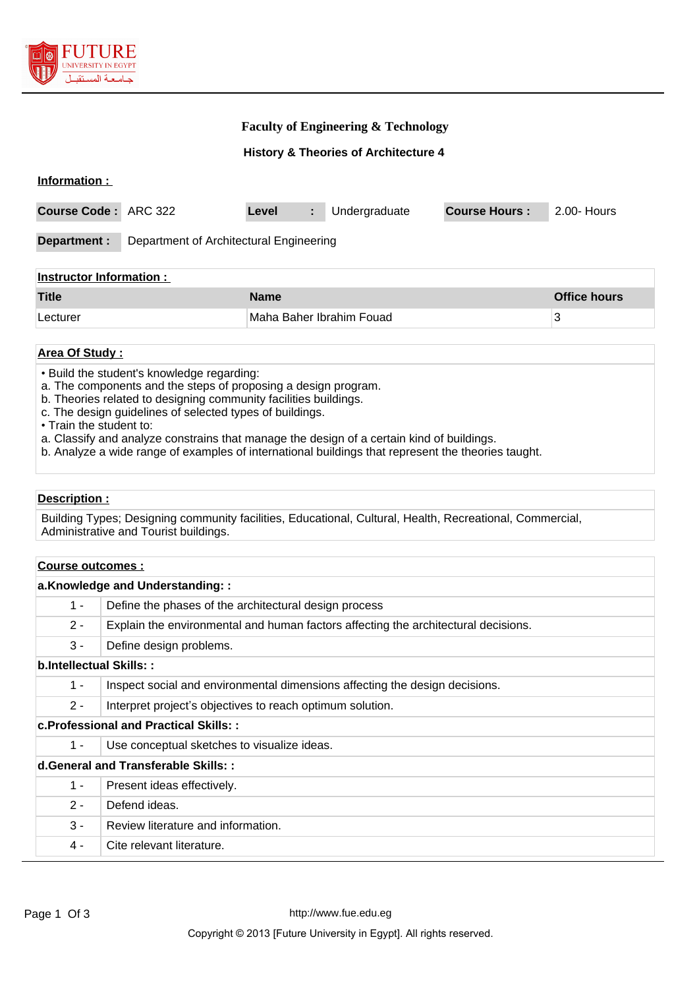

## **Faculty of Engineering & Technology**

**History & Theories of Architecture 4**

| Information :                  |                                         |                          |               |                      |                     |  |  |  |
|--------------------------------|-----------------------------------------|--------------------------|---------------|----------------------|---------------------|--|--|--|
| Course Code: ARC 322           |                                         | Level<br>÷.              | Undergraduate | <b>Course Hours:</b> | 2.00- Hours         |  |  |  |
| Department :                   | Department of Architectural Engineering |                          |               |                      |                     |  |  |  |
| <b>Instructor Information:</b> |                                         |                          |               |                      |                     |  |  |  |
| <b>Title</b>                   |                                         | <b>Name</b>              |               |                      | <b>Office hours</b> |  |  |  |
| Lecturer                       |                                         | Maha Baher Ibrahim Fouad |               |                      | 3                   |  |  |  |
|                                |                                         |                          |               |                      |                     |  |  |  |

# **Area Of Study :**

• Build the student's knowledge regarding:

- a. The components and the steps of proposing a design program.
- b. Theories related to designing community facilities buildings.
- c. The design guidelines of selected types of buildings.

• Train the student to:

a. Classify and analyze constrains that manage the design of a certain kind of buildings.

b. Analyze a wide range of examples of international buildings that represent the theories taught.

#### **Description :**

Building Types; Designing community facilities, Educational, Cultural, Health, Recreational, Commercial, Administrative and Tourist buildings.

# **Course outcomes :**

|                                        | a.Knowledge and Understanding::                                                    |  |  |  |  |
|----------------------------------------|------------------------------------------------------------------------------------|--|--|--|--|
| $1 -$                                  | Define the phases of the architectural design process                              |  |  |  |  |
| $2 -$                                  | Explain the environmental and human factors affecting the architectural decisions. |  |  |  |  |
| $3 -$                                  | Define design problems.                                                            |  |  |  |  |
| b.Intellectual Skills::                |                                                                                    |  |  |  |  |
| $1 -$                                  | Inspect social and environmental dimensions affecting the design decisions.        |  |  |  |  |
| $2 -$                                  | Interpret project's objectives to reach optimum solution.                          |  |  |  |  |
| c. Professional and Practical Skills:: |                                                                                    |  |  |  |  |
| $1 -$                                  | Use conceptual sketches to visualize ideas.                                        |  |  |  |  |
| d.General and Transferable Skills::    |                                                                                    |  |  |  |  |
| $1 -$                                  | Present ideas effectively.                                                         |  |  |  |  |
| $2 -$                                  | Defend ideas.                                                                      |  |  |  |  |
| $3 -$                                  | Review literature and information.                                                 |  |  |  |  |
| 4 -                                    | Cite relevant literature.                                                          |  |  |  |  |
|                                        |                                                                                    |  |  |  |  |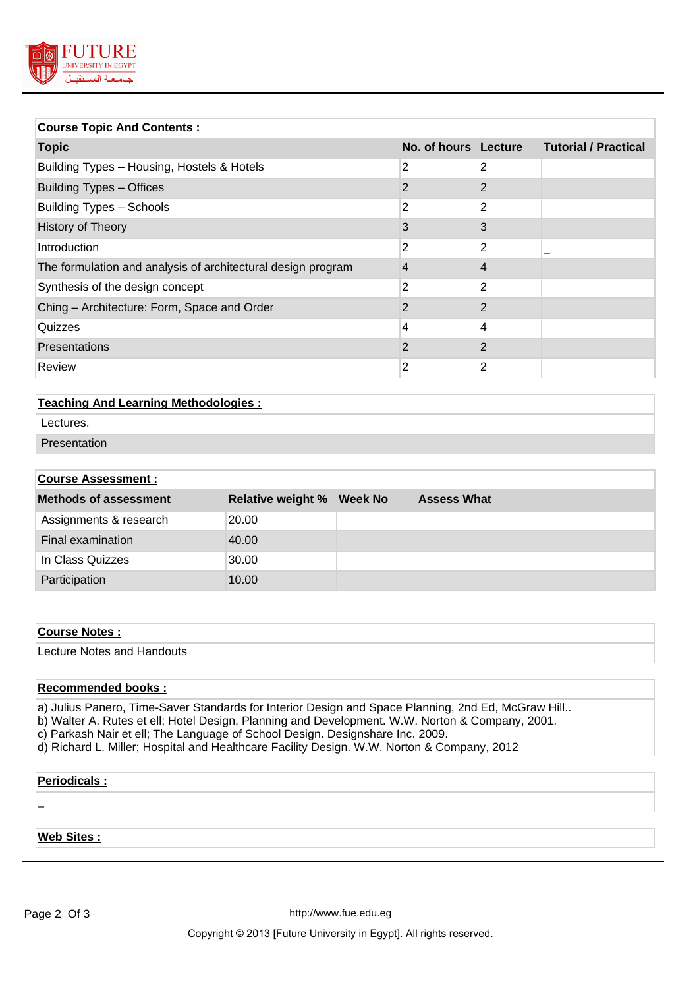

# **Course Topic And Contents :**

| <u>Course Topic And Contents.</u> |              |                             |  |  |  |  |
|-----------------------------------|--------------|-----------------------------|--|--|--|--|
|                                   |              | <b>Tutorial / Practical</b> |  |  |  |  |
| 2                                 | 2            |                             |  |  |  |  |
| $\overline{2}$                    | $\mathbf{2}$ |                             |  |  |  |  |
| 2                                 | 2            |                             |  |  |  |  |
| 3                                 | 3            |                             |  |  |  |  |
| 2                                 | 2            |                             |  |  |  |  |
| 4                                 | 4            |                             |  |  |  |  |
| 2                                 | 2            |                             |  |  |  |  |
| $\overline{2}$                    | $\mathbf{2}$ |                             |  |  |  |  |
| 4                                 | 4            |                             |  |  |  |  |
| 2                                 | $\mathbf{2}$ |                             |  |  |  |  |
| 2                                 | 2            |                             |  |  |  |  |
|                                   |              | No. of hours Lecture        |  |  |  |  |

# **Teaching And Learning Methodologies :**

- Lectures.
- Presentation

# **Course Assessment :**

| <b>Methods of assessment</b> | <b>Relative weight % Week No</b> | <b>Assess What</b> |
|------------------------------|----------------------------------|--------------------|
| Assignments & research       | 20.00                            |                    |
| Final examination            | 40.00                            |                    |
| In Class Quizzes             | 30.00                            |                    |
| Participation                | 10.00                            |                    |

## **Course Notes :**

Lecture Notes and Handouts

## **Recommended books :**

- a) Julius Panero, Time-Saver Standards for Interior Design and Space Planning, 2nd Ed, McGraw Hill.. b) Walter A. Rutes et ell; Hotel Design, Planning and Development. W.W. Norton & Company, 2001. c) Parkash Nair et ell; The Language of School Design. Designshare Inc. 2009.
- d) Richard L. Miller; Hospital and Healthcare Facility Design. W.W. Norton & Company, 2012

#### **Periodicals :**

#### **Web Sites :**

\_